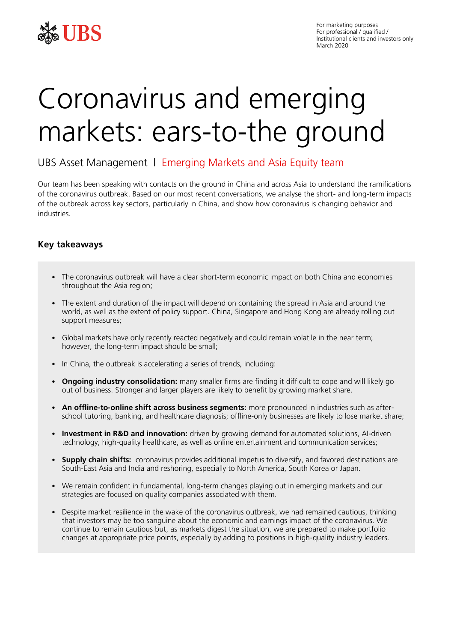

# Coronavirus and emerging markets: ears-to-the ground

# UBS Asset Management | Emerging Markets and Asia Equity team

Our team has been speaking with contacts on the ground in China and across Asia to understand the ramifications of the coronavirus outbreak. Based on our most recent conversations, we analyse the short- and long-term impacts of the outbreak across key sectors, particularly in China, and show how coronavirus is changing behavior and industries.

## **Key takeaways**

- The coronavirus outbreak will have a clear short-term economic impact on both China and economies throughout the Asia region;
- The extent and duration of the impact will depend on containing the spread in Asia and around the world, as well as the extent of policy support. China, Singapore and Hong Kong are already rolling out support measures;
- Global markets have only recently reacted negatively and could remain volatile in the near term; however, the long-term impact should be small;
- In China, the outbreak is accelerating a series of trends, including:
- **Ongoing industry consolidation:** many smaller firms are finding it difficult to cope and will likely go out of business. Stronger and larger players are likely to benefit by growing market share.
- **An offline-to-online shift across business segments:** more pronounced in industries such as afterschool tutoring, banking, and healthcare diagnosis; offline-only businesses are likely to lose market share;
- **Investment in R&D and innovation:** driven by growing demand for automated solutions, AI-driven technology, high-quality healthcare, as well as online entertainment and communication services;
- **Supply chain shifts:** coronavirus provides additional impetus to diversify, and favored destinations are South-East Asia and India and reshoring, especially to North America, South Korea or Japan.
- We remain confident in fundamental, long-term changes playing out in emerging markets and our strategies are focused on quality companies associated with them.
- Despite market resilience in the wake of the coronavirus outbreak, we had remained cautious, thinking that investors may be too sanguine about the economic and earnings impact of the coronavirus. We continue to remain cautious but, as markets digest the situation, we are prepared to make portfolio changes at appropriate price points, especially by adding to positions in high-quality industry leaders.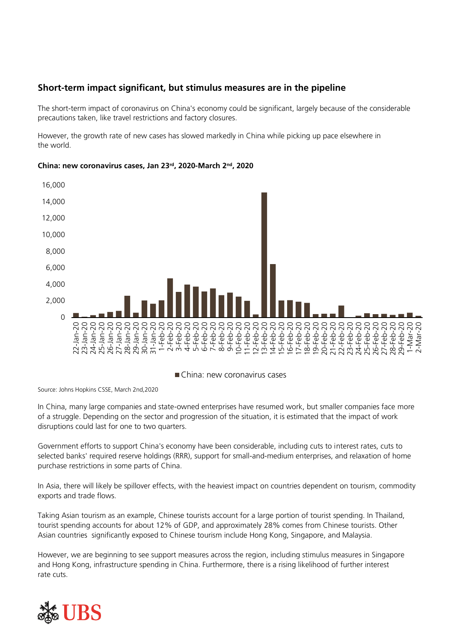# **Short-term impact significant, but stimulus measures are in the pipeline**

The short-term impact of coronavirus on China's economy could be significant, largely because of the considerable precautions taken, like travel restrictions and factory closures.

However, the growth rate of new cases has slowed markedly in China while picking up pace elsewhere in the world.



## **China: new coronavirus cases, Jan 23rd, 2020-March 2nd, 2020**

China: new coronavirus cases

Source: Johns Hopkins CSSE, March 2nd,2020

In China, many large companies and state-owned enterprises have resumed work, but smaller companies face more of a struggle. Depending on the sector and progression of the situation, it is estimated that the impact of work disruptions could last for one to two quarters.

Government efforts to support China's economy have been considerable, including cuts to interest rates, cuts to selected banks' required reserve holdings (RRR), support for small-and-medium enterprises, and relaxation of home purchase restrictions in some parts of China.

In Asia, there will likely be spillover effects, with the heaviest impact on countries dependent on tourism, commodity exports and trade flows.

Taking Asian tourism as an example, Chinese tourists account for a large portion of tourist spending. In Thailand, tourist spending accounts for about 12% of GDP, and approximately 28% comes from Chinese tourists. Other Asian countries significantly exposed to Chinese tourism include Hong Kong, Singapore, and Malaysia.

However, we are beginning to see support measures across the region, including stimulus measures in Singapore and Hong Kong, infrastructure spending in China. Furthermore, there is a rising likelihood of further interest rate cuts.

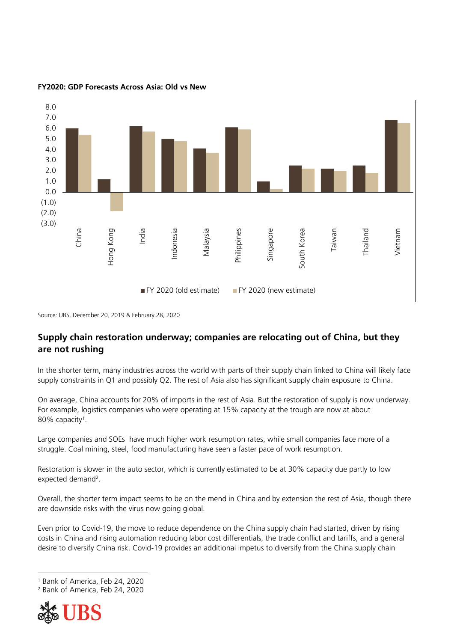

## **FY2020: GDP Forecasts Across Asia: Old vs New**

Source: UBS, December 20, 2019 & February 28, 2020

# **Supply chain restoration underway; companies are relocating out of China, but they are not rushing**

In the shorter term, many industries across the world with parts of their supply chain linked to China will likely face supply constraints in Q1 and possibly Q2. The rest of Asia also has significant supply chain exposure to China.

On average, China accounts for 20% of imports in the rest of Asia. But the restoration of supply is now underway. For example, logistics companies who were operating at 15% capacity at the trough are now at about 80% capacity<sup>1</sup> .

Large companies and SOEs have much higher work resumption rates, while small companies face more of a struggle. Coal mining, steel, food manufacturing have seen a faster pace of work resumption.

Restoration is slower in the auto sector, which is currently estimated to be at 30% capacity due partly to low expected demand<sup>2</sup>.

Overall, the shorter term impact seems to be on the mend in China and by extension the rest of Asia, though there are downside risks with the virus now going global.

Even prior to Covid-19, the move to reduce dependence on the China supply chain had started, driven by rising costs in China and rising automation reducing labor cost differentials, the trade conflict and tariffs, and a general desire to diversify China risk. Covid-19 provides an additional impetus to diversify from the China supply chain

<sup>2</sup> Bank of America, Feb 24, 2020



 $\ddot{\phantom{a}}$ 

<sup>1</sup> Bank of America, Feb 24, 2020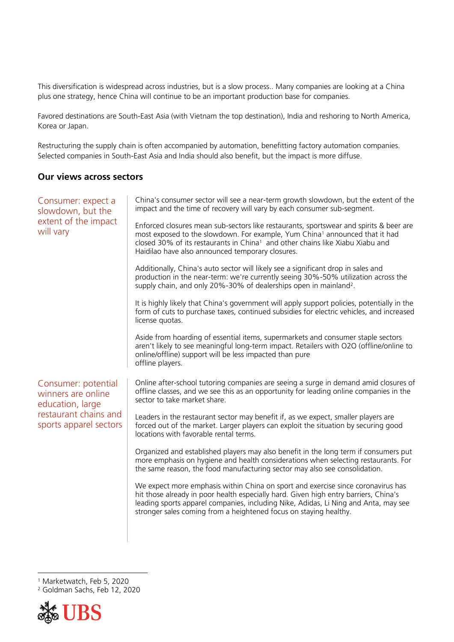This diversification is widespread across industries, but is a slow process.. Many companies are looking at a China plus one strategy, hence China will continue to be an important production base for companies.

Favored destinations are South-East Asia (with Vietnam the top destination), India and reshoring to North America, Korea or Japan.

Restructuring the supply chain is often accompanied by automation, benefitting factory automation companies. Selected companies in South-East Asia and India should also benefit, but the impact is more diffuse.

## **Our views across sectors**

| Consumer: expect a<br>slowdown, but the<br>extent of the impact<br>will vary                                     | China's consumer sector will see a near-term growth slowdown, but the extent of the<br>impact and the time of recovery will vary by each consumer sub-segment.<br>Enforced closures mean sub-sectors like restaurants, sportswear and spirits & beer are<br>most exposed to the slowdown. For example, Yum China <sup>1</sup> announced that it had<br>closed 30% of its restaurants in China <sup>1</sup> and other chains like Xiabu Xiabu and<br>Haidilao have also announced temporary closures.<br>Additionally, China's auto sector will likely see a significant drop in sales and<br>production in the near-term: we're currently seeing 30%-50% utilization across the<br>supply chain, and only 20%-30% of dealerships open in mainland <sup>2</sup> . |
|------------------------------------------------------------------------------------------------------------------|------------------------------------------------------------------------------------------------------------------------------------------------------------------------------------------------------------------------------------------------------------------------------------------------------------------------------------------------------------------------------------------------------------------------------------------------------------------------------------------------------------------------------------------------------------------------------------------------------------------------------------------------------------------------------------------------------------------------------------------------------------------|
|                                                                                                                  | It is highly likely that China's government will apply support policies, potentially in the<br>form of cuts to purchase taxes, continued subsidies for electric vehicles, and increased<br>license quotas.                                                                                                                                                                                                                                                                                                                                                                                                                                                                                                                                                       |
|                                                                                                                  | Aside from hoarding of essential items, supermarkets and consumer staple sectors<br>aren't likely to see meaningful long-term impact. Retailers with O2O (offline/online to<br>online/offline) support will be less impacted than pure<br>offline players.                                                                                                                                                                                                                                                                                                                                                                                                                                                                                                       |
| Consumer: potential<br>winners are online<br>education, large<br>restaurant chains and<br>sports apparel sectors | Online after-school tutoring companies are seeing a surge in demand amid closures of<br>offline classes, and we see this as an opportunity for leading online companies in the<br>sector to take market share.                                                                                                                                                                                                                                                                                                                                                                                                                                                                                                                                                   |
|                                                                                                                  | Leaders in the restaurant sector may benefit if, as we expect, smaller players are<br>forced out of the market. Larger players can exploit the situation by securing good<br>locations with favorable rental terms.                                                                                                                                                                                                                                                                                                                                                                                                                                                                                                                                              |
|                                                                                                                  | Organized and established players may also benefit in the long term if consumers put<br>more emphasis on hygiene and health considerations when selecting restaurants. For<br>the same reason, the food manufacturing sector may also see consolidation.                                                                                                                                                                                                                                                                                                                                                                                                                                                                                                         |
|                                                                                                                  | We expect more emphasis within China on sport and exercise since coronavirus has<br>hit those already in poor health especially hard. Given high entry barriers, China's<br>leading sports apparel companies, including Nike, Adidas, Li Ning and Anta, may see<br>stronger sales coming from a heightened focus on staying healthy.                                                                                                                                                                                                                                                                                                                                                                                                                             |
|                                                                                                                  |                                                                                                                                                                                                                                                                                                                                                                                                                                                                                                                                                                                                                                                                                                                                                                  |

<sup>1</sup> Marketwatch, Feb 5, 2020 <sup>2</sup> Goldman Sachs, Feb 12, 2020



 $\ddot{\phantom{a}}$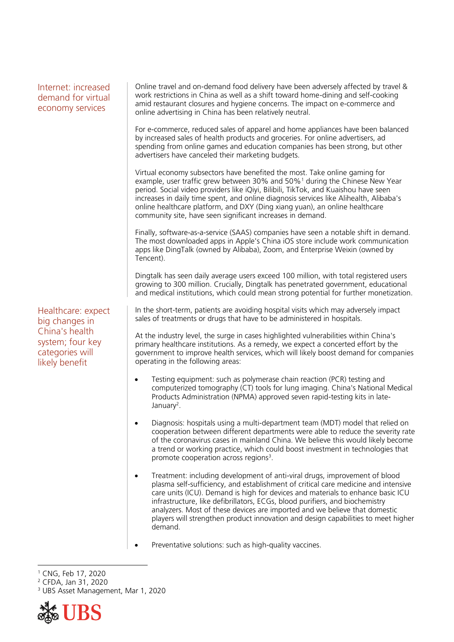| Internet: increased<br>demand for virtual<br>economy services                                                   | Online travel and on-demand food delivery have been adversely affected by travel &<br>work restrictions in China as well as a shift toward home-dining and self-cooking<br>amid restaurant closures and hygiene concerns. The impact on e-commerce and<br>online advertising in China has been relatively neutral.                                                                                                                                                                                                |
|-----------------------------------------------------------------------------------------------------------------|-------------------------------------------------------------------------------------------------------------------------------------------------------------------------------------------------------------------------------------------------------------------------------------------------------------------------------------------------------------------------------------------------------------------------------------------------------------------------------------------------------------------|
|                                                                                                                 | For e-commerce, reduced sales of apparel and home appliances have been balanced<br>by increased sales of health products and groceries. For online advertisers, ad<br>spending from online games and education companies has been strong, but other<br>advertisers have canceled their marketing budgets.                                                                                                                                                                                                         |
|                                                                                                                 | Virtual economy subsectors have benefited the most. Take online gaming for<br>example, user traffic grew between 30% and 50% <sup>1</sup> during the Chinese New Year<br>period. Social video providers like iQiyi, Bilibili, TikTok, and Kuaishou have seen<br>increases in daily time spent, and online diagnosis services like Alihealth, Alibaba's<br>online healthcare platform, and DXY (Ding xiang yuan), an online healthcare<br>community site, have seen significant increases in demand.               |
|                                                                                                                 | Finally, software-as-a-service (SAAS) companies have seen a notable shift in demand.<br>The most downloaded apps in Apple's China iOS store include work communication<br>apps like DingTalk (owned by Alibaba), Zoom, and Enterprise Weixin (owned by<br>Tencent).                                                                                                                                                                                                                                               |
|                                                                                                                 | Dingtalk has seen daily average users exceed 100 million, with total registered users<br>growing to 300 million. Crucially, Dingtalk has penetrated government, educational<br>and medical institutions, which could mean strong potential for further monetization.                                                                                                                                                                                                                                              |
| Healthcare: expect<br>big changes in<br>China's health<br>system; four key<br>categories will<br>likely benefit | In the short-term, patients are avoiding hospital visits which may adversely impact<br>sales of treatments or drugs that have to be administered in hospitals.                                                                                                                                                                                                                                                                                                                                                    |
|                                                                                                                 | At the industry level, the surge in cases highlighted vulnerabilities within China's<br>primary healthcare institutions. As a remedy, we expect a concerted effort by the<br>government to improve health services, which will likely boost demand for companies<br>operating in the following areas:                                                                                                                                                                                                             |
|                                                                                                                 | Testing equipment: such as polymerase chain reaction (PCR) testing and<br>$\bullet$<br>computerized tomography (CT) tools for lung imaging. China's National Medical<br>Products Administration (NPMA) approved seven rapid-testing kits in late-<br>January <sup>2</sup> .                                                                                                                                                                                                                                       |
|                                                                                                                 | Diagnosis: hospitals using a multi-department team (MDT) model that relied on<br>٠<br>cooperation between different departments were able to reduce the severity rate<br>of the coronavirus cases in mainland China. We believe this would likely become<br>a trend or working practice, which could boost investment in technologies that<br>promote cooperation across regions <sup>3</sup> .                                                                                                                   |
|                                                                                                                 | Treatment: including development of anti-viral drugs, improvement of blood<br>plasma self-sufficiency, and establishment of critical care medicine and intensive<br>care units (ICU). Demand is high for devices and materials to enhance basic ICU<br>infrastructure, like defibrillators, ECGs, blood purifiers, and biochemistry<br>analyzers. Most of these devices are imported and we believe that domestic<br>players will strengthen product innovation and design capabilities to meet higher<br>demand. |

Preventative solutions: such as high-quality vaccines.

<sup>2</sup> CFDA, Jan 31, 2020

<sup>&</sup>lt;sup>3</sup> UBS Asset Management, Mar 1, 2020



 $\overline{a}$ <sup>1</sup> CNG, Feb 17, 2020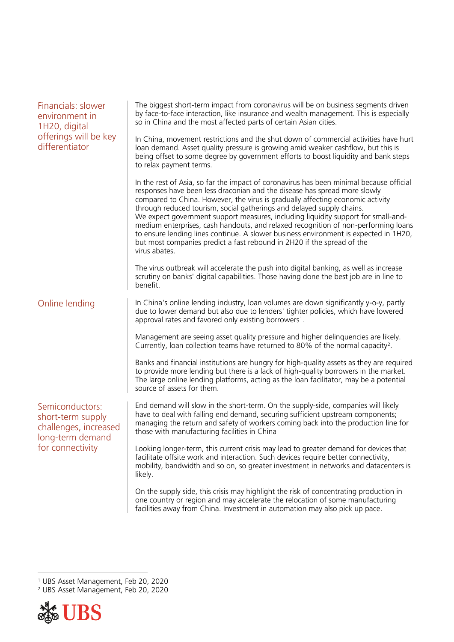| Financials: slower<br>environment in<br>1H20, digital<br>offerings will be key<br>differentiator      | The biggest short-term impact from coronavirus will be on business segments driven<br>by face-to-face interaction, like insurance and wealth management. This is especially<br>so in China and the most affected parts of certain Asian cities.                                                                                                                                                                                                                                                                                                                                                                                                                                               |
|-------------------------------------------------------------------------------------------------------|-----------------------------------------------------------------------------------------------------------------------------------------------------------------------------------------------------------------------------------------------------------------------------------------------------------------------------------------------------------------------------------------------------------------------------------------------------------------------------------------------------------------------------------------------------------------------------------------------------------------------------------------------------------------------------------------------|
|                                                                                                       | In China, movement restrictions and the shut down of commercial activities have hurt<br>loan demand. Asset quality pressure is growing amid weaker cashflow, but this is<br>being offset to some degree by government efforts to boost liquidity and bank steps<br>to relax payment terms.                                                                                                                                                                                                                                                                                                                                                                                                    |
|                                                                                                       | In the rest of Asia, so far the impact of coronavirus has been minimal because official<br>responses have been less draconian and the disease has spread more slowly<br>compared to China. However, the virus is gradually affecting economic activity<br>through reduced tourism, social gatherings and delayed supply chains.<br>We expect government support measures, including liquidity support for small-and-<br>medium enterprises, cash handouts, and relaxed recognition of non-performing loans<br>to ensure lending lines continue. A slower business environment is expected in 1H20,<br>but most companies predict a fast rebound in 2H20 if the spread of the<br>virus abates. |
|                                                                                                       | The virus outbreak will accelerate the push into digital banking, as well as increase<br>scrutiny on banks' digital capabilities. Those having done the best job are in line to<br>benefit.                                                                                                                                                                                                                                                                                                                                                                                                                                                                                                   |
| Online lending                                                                                        | In China's online lending industry, loan volumes are down significantly y-o-y, partly<br>due to lower demand but also due to lenders' tighter policies, which have lowered<br>approval rates and favored only existing borrowers <sup>1</sup> .                                                                                                                                                                                                                                                                                                                                                                                                                                               |
|                                                                                                       | Management are seeing asset quality pressure and higher delinquencies are likely.<br>Currently, loan collection teams have returned to 80% of the normal capacity <sup>2</sup> .                                                                                                                                                                                                                                                                                                                                                                                                                                                                                                              |
|                                                                                                       | Banks and financial institutions are hungry for high-quality assets as they are required<br>to provide more lending but there is a lack of high-quality borrowers in the market.<br>The large online lending platforms, acting as the loan facilitator, may be a potential<br>source of assets for them.                                                                                                                                                                                                                                                                                                                                                                                      |
| Semiconductors:<br>short-term supply<br>challenges, increased<br>long-term demand<br>for connectivity | End demand will slow in the short-term. On the supply-side, companies will likely<br>have to deal with falling end demand, securing sufficient upstream components;<br>managing the return and safety of workers coming back into the production line for<br>those with manufacturing facilities in China                                                                                                                                                                                                                                                                                                                                                                                     |
|                                                                                                       | Looking longer-term, this current crisis may lead to greater demand for devices that<br>facilitate offsite work and interaction. Such devices require better connectivity,<br>mobility, bandwidth and so on, so greater investment in networks and datacenters is<br>likely.                                                                                                                                                                                                                                                                                                                                                                                                                  |
|                                                                                                       | On the supply side, this crisis may highlight the risk of concentrating production in<br>one country or region and may accelerate the relocation of some manufacturing<br>facilities away from China. Investment in automation may also pick up pace.                                                                                                                                                                                                                                                                                                                                                                                                                                         |

<sup>2</sup> UBS Asset Management, Feb 20, 2020



 $\ddot{\phantom{a}}$ 

<sup>1</sup> UBS Asset Management, Feb 20, 2020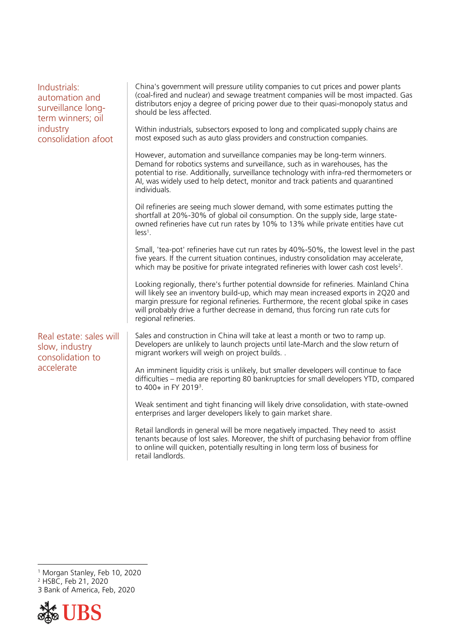| Industrials:<br>automation and<br>surveillance long-<br>term winners; oil<br>industry<br>consolidation afoot | China's government will pressure utility companies to cut prices and power plants<br>(coal-fired and nuclear) and sewage treatment companies will be most impacted. Gas<br>distributors enjoy a degree of pricing power due to their quasi-monopoly status and<br>should be less affected.                                                                                         |
|--------------------------------------------------------------------------------------------------------------|------------------------------------------------------------------------------------------------------------------------------------------------------------------------------------------------------------------------------------------------------------------------------------------------------------------------------------------------------------------------------------|
|                                                                                                              | Within industrials, subsectors exposed to long and complicated supply chains are<br>most exposed such as auto glass providers and construction companies.                                                                                                                                                                                                                          |
|                                                                                                              | However, automation and surveillance companies may be long-term winners.<br>Demand for robotics systems and surveillance, such as in warehouses, has the<br>potential to rise. Additionally, surveillance technology with infra-red thermometers or<br>AI, was widely used to help detect, monitor and track patients and quarantined<br>individuals.                              |
|                                                                                                              | Oil refineries are seeing much slower demand, with some estimates putting the<br>shortfall at 20%-30% of global oil consumption. On the supply side, large state-<br>owned refineries have cut run rates by 10% to 13% while private entities have cut<br>$less1$ .                                                                                                                |
|                                                                                                              | Small, 'tea-pot' refineries have cut run rates by 40%-50%, the lowest level in the past<br>five years. If the current situation continues, industry consolidation may accelerate,<br>which may be positive for private integrated refineries with lower cash cost levels <sup>2</sup> .                                                                                            |
|                                                                                                              | Looking regionally, there's further potential downside for refineries. Mainland China<br>will likely see an inventory build-up, which may mean increased exports in 2Q20 and<br>margin pressure for regional refineries. Furthermore, the recent global spike in cases<br>will probably drive a further decrease in demand, thus forcing run rate cuts for<br>regional refineries. |
| Real estate: sales will<br>slow, industry<br>consolidation to<br>accelerate                                  | Sales and construction in China will take at least a month or two to ramp up.<br>Developers are unlikely to launch projects until late-March and the slow return of<br>migrant workers will weigh on project builds                                                                                                                                                                |
|                                                                                                              | An imminent liquidity crisis is unlikely, but smaller developers will continue to face<br>difficulties - media are reporting 80 bankruptcies for small developers YTD, compared<br>to 400+ in FY 2019 <sup>3</sup> .                                                                                                                                                               |
|                                                                                                              | Weak sentiment and tight financing will likely drive consolidation, with state-owned<br>enterprises and larger developers likely to gain market share.                                                                                                                                                                                                                             |
|                                                                                                              | Retail landlords in general will be more negatively impacted. They need to assist<br>tenants because of lost sales. Moreover, the shift of purchasing behavior from offline<br>to online will quicken, potentially resulting in long term loss of business for<br>retail landlords.                                                                                                |
|                                                                                                              |                                                                                                                                                                                                                                                                                                                                                                                    |

 $\ddot{\phantom{a}}$ <sup>1</sup> Morgan Stanley, Feb 10, 2020

<sup>2</sup> HSBC, Feb 21, 2020

3 Bank of America, Feb, 2020